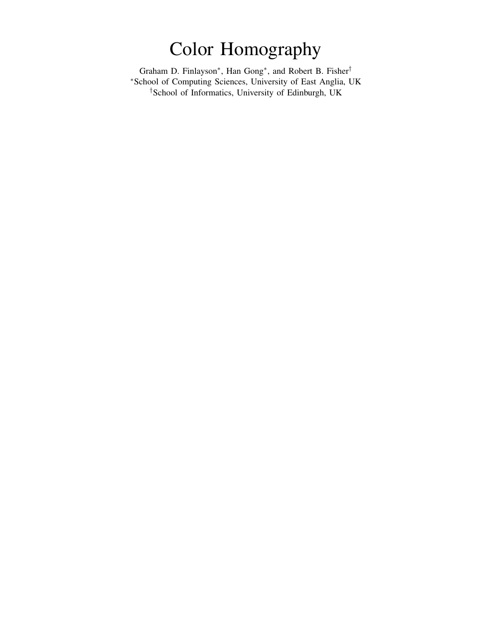# Color Homography

Graham D. Finlayson<sup>\*</sup>, Han Gong<sup>\*</sup>, and Robert B. Fisher<sup>†</sup> <sup>∗</sup>School of Computing Sciences, University of East Anglia, UK †School of Informatics, University of Edinburgh, UK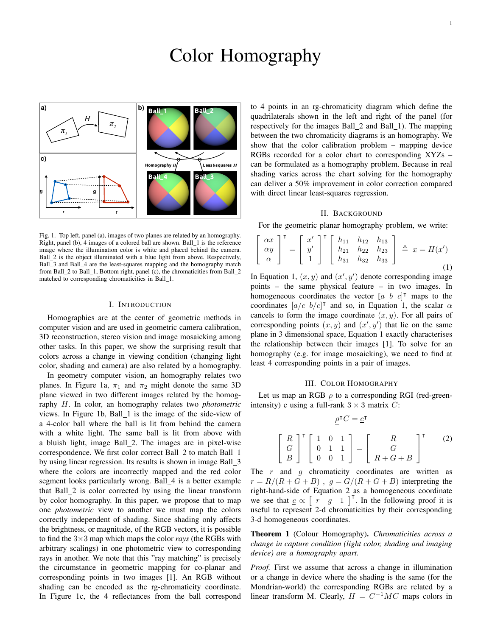## Color Homography



Fig. 1. Top left, panel (a), images of two planes are related by an homography. Right, panel (b), 4 images of a colored ball are shown. Ball\_1 is the reference image where the illumination color is white and placed behind the camera. Ball 2 is the object illuminated with a blue light from above. Respectively, Ball\_3 and Ball\_4 are the least-squares mapping and the homography match from Ball 2 to Ball 1, Bottom right, panel (c), the chromaticities from Ball 2 matched to corresponding chromaticities in Ball\_1.

#### I. INTRODUCTION

Homographies are at the center of geometric methods in computer vision and are used in geometric camera calibration, 3D reconstruction, stereo vision and image mosaicking among other tasks. In this paper, we show the surprising result that colors across a change in viewing condition (changing light color, shading and camera) are also related by a homography.

In geometry computer vision, an homography relates two planes. In Figure 1a,  $\pi_1$  and  $\pi_2$  might denote the same 3D plane viewed in two different images related by the homography H. In color, an homography relates two *photometric* views. In Figure 1b, Ball\_1 is the image of the side-view of a 4-color ball where the ball is lit from behind the camera with a white light. The same ball is lit from above with a bluish light, image Ball 2. The images are in pixel-wise correspondence. We first color correct Ball\_2 to match Ball\_1 by using linear regression. Its results is shown in image Ball 3 where the colors are incorrectly mapped and the red color segment looks particularly wrong. Ball 4 is a better example that Ball\_2 is color corrected by using the linear transform by color homography. In this paper, we propose that to map one *photometric* view to another we must map the colors correctly independent of shading. Since shading only affects the brightness, or magnitude, of the RGB vectors, it is possible to find the 3×3 map which maps the color *rays* (the RGBs with arbitrary scalings) in one photometric view to corresponding rays in another. We note that this "ray matching" is precisely the circumstance in geometric mapping for co-planar and corresponding points in two images [1]. An RGB without shading can be encoded as the rg-chromaticity coordinate. In Figure 1c, the 4 reflectances from the ball correspond to 4 points in an rg-chromaticity diagram which define the quadrilaterals shown in the left and right of the panel (for respectively for the images Ball 2 and Ball 1). The mapping between the two chromaticity diagrams is an homography. We show that the color calibration problem – mapping device RGBs recorded for a color chart to corresponding XYZs – can be formulated as a homography problem. Because in real shading varies across the chart solving for the homography can deliver a 50% improvement in color correction compared with direct linear least-squares regression.

#### II. BACKGROUND

For the geometric planar homography problem, we write:

$$
\begin{bmatrix}\n\alpha x \\
\alpha y \\
\alpha\n\end{bmatrix}^{\mathsf{T}} = \begin{bmatrix}\nx' \\
y' \\
1\n\end{bmatrix}^{\mathsf{T}} \begin{bmatrix}\nh_{11} & h_{12} & h_{13} \\
h_{21} & h_{22} & h_{23} \\
h_{31} & h_{32} & h_{33}\n\end{bmatrix} \triangleq \underline{x} = H(\underline{x}')
$$
\n(1)

In Equation 1,  $(x, y)$  and  $(x', y')$  denote corresponding image points – the same physical feature – in two images. In homogeneous coordinates the vector  $[a \; b \; c]^T$  maps to the coordinates  $[a/c \; b/c]^\intercal$  and so, in Equation 1, the scalar  $\alpha$ cancels to form the image coordinate  $(x, y)$ . For all pairs of corresponding points  $(x, y)$  and  $(x', y')$  that lie on the same plane in 3 dimensional space, Equation 1 exactly characterises the relationship between their images [1]. To solve for an homography (e.g. for image mosaicking), we need to find at least 4 corresponding points in a pair of images.

#### III. COLOR HOMOGRAPHY

Let us map an RGB  $\rho$  to a corresponding RGI (red-greenintensity)  $\circ$  using a full-rank  $3 \times 3$  matrix C:

> $\lceil$  $\overline{1}$

$$
\underline{\rho}^{\mathsf{T}}C = \underline{c}^{\mathsf{T}}
$$
\n
$$
\begin{bmatrix}\nR \\
G \\
B\n\end{bmatrix}^{\mathsf{T}}\n\begin{bmatrix}\n1 & 0 & 1 \\
0 & 1 & 1 \\
0 & 0 & 1\n\end{bmatrix} =\n\begin{bmatrix}\nR \\
G \\
R + G + B\n\end{bmatrix}^{\mathsf{T}}\n\tag{2}
$$

The  $r$  and  $g$  chromaticity coordinates are written as  $r = R/(R+G+B)$ ,  $q = G/(R+G+B)$  interpreting the right-hand-side of Equation 2 as a homogeneous coordinate we see that  $c \propto [r \quad g \quad 1]^\top$ . In the following proof it is useful to represent 2-d chromaticities by their corresponding 3-d homogeneous coordinates.

Theorem 1 (Colour Homography). *Chromaticities across a change in capture condition (light color, shading and imaging device) are a homography apart.*

*Proof.* First we assume that across a change in illumination or a change in device where the shading is the same (for the Mondrian-world) the corresponding RGBs are related by a linear transform M. Clearly,  $H = C^{-1}MC$  maps colors in